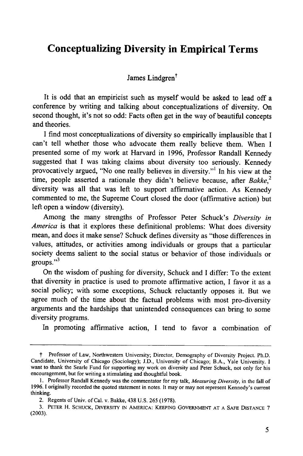## **Conceptualizing Diversity in Empirical Terms**

James Lindgren<sup>†</sup>

It is odd that an empiricist such as myself would be asked to lead off a conference **by** writing and talking about conceptualizations of diversity. On second thought, it's not so odd: Facts often get in the way of beautiful concepts and theories.

**I** find most conceptualizations of diversity so empirically implausible that **I** can't tell whether those who advocate them really believe them. When **I** presented some of my work at Harvard in **1996,** Professor Randall Kennedy suggested that **I** was taking claims about diversity too seriously. Kennedy provocatively argued, "No one really believes in diversity."' In his view at the time, people asserted a rationale they didn't believe because, after *Bakke*,<sup>2</sup> diversity was all that was left to support affirmative action. As Kennedy commented to me, the Supreme Court closed the door (affirmative action) but left open a window (diversity).

Among the many strengths of Professor Peter Schuck's *Diversity in America* is that it explores these definitional problems: What does diversity mean, and does it make sense? Schuck defines diversity as "those differences in values, attitudes, or activities among individuals or groups that a particular society deems salient to the social status or behavior of those individuals or groups."

On the wisdom of pushing for diversity, Schuck and **I** differ: To the extent that diversity in practice is used to promote affirmative action, I favor it as a social policy; with some exceptions, Schuck reluctantly opposes it. But we agree much of the time about the factual problems with most pro-diversity arguments and the hardships that unintended consequences can bring to some diversity programs.

In promoting affirmative action, I tend to favor a combination of

t Professor of Law, Northwestern University; Director, Demography of Diversity Project. Ph.D. Candidate, University of Chicago (Sociology); **J.D.,** University of Chicago; B.A., Yale University. **I** want to thank the Searle Fund for supporting my work on diversity and Peter Schuck, not only for his encouragement, but for writing a stimulating and thoughtful book.

**<sup>1.</sup>** Professor Randall Kennedy was the commentator for my talk, *Measuring Diversity,* in the fall of **1996. I** originally recorded the quoted statement in notes. It may or may not represent Kennedy's current thinking.

<sup>2.</sup> Regents of Univ. of Cal. v. Bakke, 438 **U.S.** 265 **(1978).**

<sup>3.</sup> PETER H. SCHUCK, DIVERSITY **IN** AMERICA: **KEEPING GOVERNMENT AT A SAFE DISTANCE** 7 (2003).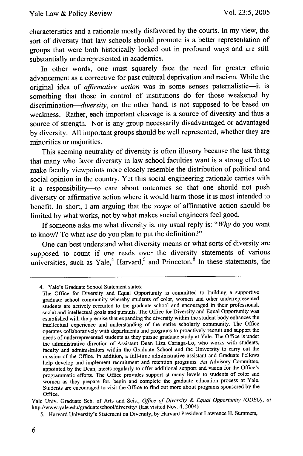characteristics and a rationale mostly disfavored by the courts. In my view, the sort of diversity that law schools should promote is a better representation of groups that were both historically locked out in profound ways and are still substantially underrepresented in academics.

In other words, one must squarely face the need for greater ethnic advancement as a corrective for past cultural deprivation and racism. While the original idea of *affirmative action* was in some senses paternalistic-it is something that those in control of institutions do for those weakened by discrimination-*diversity*, on the other hand, is not supposed to be based on weakness. Rather, each important cleavage is a source of diversity and thus a source of strength. Nor is any group necessarily disadvantaged or advantaged by diversity. All important groups should be well represented, whether they are minorities or majorities.

This seeming neutrality of diversity is often illusory because the last thing that many who favor diversity in law school faculties want is a strong effort to make faculty viewpoints more closely resemble the distribution of political and social opinion in the country. Yet this social engineering rationale carries with it a responsibility-to care about outcomes so that one should not push diversity or affirmative action where it would harm those it is most intended to benefit. In short, I am arguing that the *scope* of affirmative action should be limited by what works, not by what makes social engineers feel good.

If someone asks me what diversity is, my usual reply is: *"Why* do you want to know? To what *use* do you plan to put the definition?"

One can best understand what diversity means or what sorts of diversity are supposed to count if one reads over the diversity statements of various universities, such as Yale,<sup>4</sup> Harvard,<sup>5</sup> and Princeton.<sup> $\dot{6}$ </sup> In these statements, the

Yale Univ. Graduate Sch. of Arts and Scis., *Office of Diversity & Equal Opportunity (ODEO), at* http://www.yale.edu/graduateschool/diversity/ (last visited Nov. 4, 2004).

<sup>4.</sup> Yale's Graduate School Statement states:

The Office for Diversity and Equal Opportunity is committed to building a supportive graduate school community whereby students of color, women and other underrepresented students are actively recruited to the graduate school and encouraged in their professional, social and intellectual goals and pursuits. The Office for Diversity and Equal Opportunity was established with the premise that expanding the diversity within the student body enhances the intellectual experience and understanding of the entire scholarly community. The Office operates collaboratively with departments and programs to proactively recruit and support the needs of underrepresented students as they pursue graduate study at Yale. The Office is under the administrative direction of Assistant Dean Liza Cariaga-Lo, who works with students, faculty and administrators within the Graduate School and the University to carry out the mission of the Office. In addition, a full-time administrative assistant and Graduate Fellows help develop and implement recruitment and retention programs. An Advisory Committee, appointed by the Dean, meets regularly to offer additional support and vision for the Office's programmatic efforts. The Office provides support at many levels to students of color and women as they prepare for, begin and complete the graduate education process at Yale. Students are encouraged to visit the Office to find out more about programs sponsored by the Office.

<sup>5.</sup> Harvard University's Statement on Diversity, by Harvard President Lawrence H. Summers,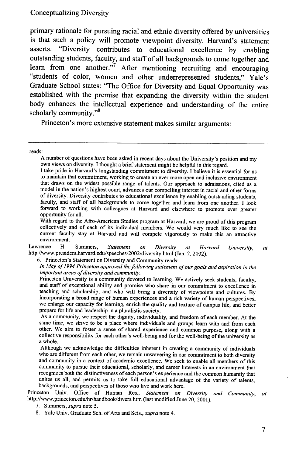primary rationale for pursuing racial and ethnic diversity offered **by** universities is that such a policy will promote viewpoint diversity. Harvard's statement asserts: "Diversity contributes to educational excellence **by** enabling outstanding students, faculty, and staff of all backgrounds to come together and learn from one another."<sup>7</sup> After mentioning recruiting and encouraging "students of color, women and other underrepresented students," Yale's Graduate School states: "The Office for Diversity and Equal Opportunity was established with the premise that expanding the diversity within the student body enhances the intellectual experience and understanding of the entire scholarly community."<sup>8</sup>

Princeton's more extensive statement makes similar arguments:

reads:

With regard to the Afro-American Studies program at Harvard, we are proud of this program collectively and of each of its individual members. We would very much like to see the current faculty stay at Harvard and will compete vigorously to make this an attractive environment.

Lawrence H. Summers, *Statement on Diversity at Harvard University, at* http://www.president.harvard.edu/speeches/2002/diversity.html (Jan. 2, 2002).

6. Princeton's Statement on Diversity and Community reads:

*In May of 1994 Princeton approved the following statement of our goals and aspiration in the important areas of diversity and community.*

As a community, we respect the dignity, individuality, and freedom of each member. At the same time, we strive to be a place where individuals and groups learn with and from each other. We aim to foster a sense of shared experience and common purpose, along with a collective responsibility for each other's well-being and for the well-being of the university as a whole.

Although we acknowledge the difficulties inherent in creating a community of individuals who are different from each other, we remain unwavering in our commitment to both diversity and community in a context of academic excellence. We seek to enable all members of this community to pursue their educational, scholarly, and career interests in an environment that recognizes both the distinctiveness of each person's experience and the common humanity that unites us all, and permits us to take full educational advantage of the variety of talents, backgrounds, and perspectives of those who live and work here.

Princeton Univ. Office of Human Res., *Statement on Diversity and Community, at* http://www.princeton.edu/hr/handbook/divers.htm (last modified June 20, 2001).

A number of questions have been asked in recent days about the University's position and my<br>own views on diversity. I thought a brief statement might be helpful in this regard.<br>I take pride in Harvard's longstanding commit

that draws on the widest possible range of talents. Our approach to admissions, cited as a model in the nation's highest court, advances our compelling interest in racial and other forms of diversity. Diversity contributes to educational excellence by enabling outstanding students, faculty, and staff of all backgrounds to come together and learn from one another. I look forward to working with colleagues at Harvard and elsewhere to promote ever greater opportunity for all.

Princeton University is a community devoted to learning. We actively seek students, faculty, and staff of exceptional ability and promise who share in our commitment to excellence in teaching and scholarship, and who will bring a diversity of viewpoints and cultures. By incorporating a broad range of human experiences and a rich variety of human perspectives, we enlarge our capacity for learning, enrich the quality and texture of campus life, and better prepare for life and leadership in a pluralistic society.

<sup>7.</sup> Summers, *supra* note **5.**

<sup>8.</sup> Yale Univ. Graduate Sch. of Arts and Scis., *supra* note 4.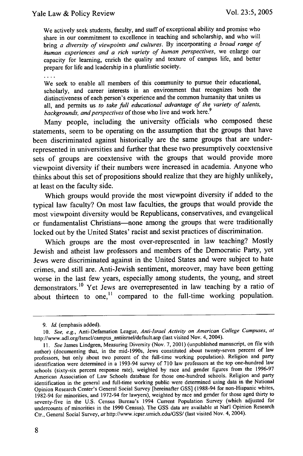We actively seek students, faculty, and staff of exceptional ability and promise who share in our commitment to excellence in teaching and scholarship, and who will bring *a* diversity of *viewpoints and cultures.* By incorporating *a broad range of human experiences and a rich variety of human perspectives,* we enlarge our capacity for learning, enrich the quality and texture of campus life, and better prepare for life and leadership in a pluralistic society.

 $\ldots$ 

We seek to enable all members of this community to pursue their educational, scholarly, and career interests in an environment that recognizes both the distinctiveness of each person's experience and the common humanity that unites us all, and permits us *to take full educational advantage of the variety of talents,* backgrounds, and perspectives of those who live and work here.<sup>9</sup>

Many people, including the university officials who composed these statements, seem to be operating on the assumption that the groups that have been discriminated against historically are the same groups that are underrepresented in universities and further that these two presumptively coextensive sets of groups are coextensive with the groups that would provide more viewpoint diversity if their numbers were increased in academia. Anyone who thinks about this set of propositions should realize that they are **highly** unlikely, at least on the faculty side.

Which groups would provide the most viewpoint diversity if added to the typical law faculty? On most law faculties, the groups that would provide the most viewpoint diversity would be Republicans, conservatives, and evangelical or fundamentalist Christians-none among the groups that were traditionally locked out **by** the United States' racist and sexist practices of discrimination.

Which groups are the most over-represented in law teaching? Mostly Jewish and atheist law professors and members of the Democratic Party, yet Jews were discriminated against in the United States and were subject to hate crimes, and still are. Anti-Jewish sentiment, moreover, may have been getting worse in the last few years, especially among students, the young, and street demonstrators.<sup>10</sup> Yet Jews are overrepresented in law teaching by a ratio of about thirteen to one,<sup>11</sup> compared to the full-time working population.

*<sup>9.</sup> Id.* (emphasis added).

<sup>10.</sup> *See, e.g.,* Anti-Defamation League, *Anti-Israel Activity on American College Campuses, at* http://www.adl.org/Israel/campus\_antiisrael/default.asp (last visited Nov. 4, 2004).

*<sup>11.</sup> See* James Lindgren, Measuring Diversity (Nov. 7, 2001) (unpublished manuscript, on file with author) (documenting that, in the mid-1990s, Jews constituted about twenty-seven percent of law professors, but only about two percent of the full-time working population). Religion and party identification were determined in a 1993-94 survey of 710 law professors at the top one-hundred law schools (sixty-six percent response rate), weighted by race and gender figures from the 1996-97 American Association of Law Schools database for those one-hundred schools. Religion and party identification in the general and full-time working public were determined using data in the National Opinion Research Center's General Social Survey [hereinafter GSS] (1988-94 for non-Hispanic whites, 1982-94 for minorities, and 1972-94 for lawyers), weighted by race and gender for those aged thirty to seventy-five in the U.S. Census Bureau's 1994 Current Population Survey (which adjusted for undercounts of minorities in the 1990 Census). The GSS data are available at Nat'l Opinion Research Ctr., General Social Survey, *at* http://www.icpsr.umich.edu/GSS/ (last visited Nov. 4, 2004).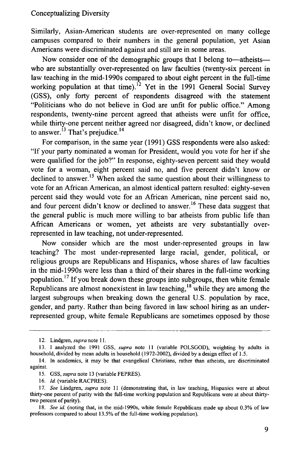## Conceptualizing Diversity

Similarly, Asian-American students are over-represented on many college campuses compared to their numbers in the general population, yet Asian Americans were discriminated against and still are in some areas.

Now consider one of the demographic groups that I belong to—atheists who are substantially over-represented on law faculties (twenty-six percent in law teaching in the mid-1990s compared to about eight percent in the full-time working population at that time).<sup>12</sup> Yet in the 1991 General Social Survey (GSS), only forty percent of respondents disagreed with the statement "Politicians who do not believe in God are unfit for public office." Among respondents, twenty-nine percent agreed that atheists were unfit for office, while thirty-one percent neither agreed nor disagreed, didn't know, or declined to answer. $^{13}$  That's prejudice.<sup>14</sup>

For comparison, in the same year (1991) GSS respondents were also asked: "If your party nominated a woman for President, would you vote for her if she were qualified for the job?" In response, eighty-seven percent said they would vote for a woman, eight percent said no, and five percent didn't know or declined to answer.<sup>15</sup> When asked the same question about their willingness to vote for an African American, an almost identical pattern resulted: eighty-seven percent said they would vote for an African American, nine percent said no, and four percent didn't know or declined to answer.<sup>16</sup> These data suggest that the general public is much more willing to bar atheists from public life than African Americans or women, yet atheists are very substantially overrepresented in law teaching, not under-represented.

Now consider which are the most under-represented groups in law teaching? The most under-represented large racial, gender, political, or religious groups are Republicans and Hispanics, whose shares of law faculties in the mid-1990s were less than a third of their shares in the full-time working population. 17 If you break down these groups into subgroups, then white female Republicans are almost nonexistent in law teaching,  $18$  while they are among the largest subgroups when breaking down the general U.S. population by race, gender, and party. Rather than being favored in law school hiring as an underrepresented group, white female Republicans are sometimes opposed by those

<sup>12.</sup> Lindgren, *supra* note 11.

<sup>13.</sup> **1** analyzed the 1991 GSS, *supra* note 11 (variable POLSGOD), weighting by adults in household, divided by mean adults in household (1972-2002), divided by a design effect of 1.5.

<sup>14.</sup> In academics, it may be that evangelical Christians, rather than atheists, are discriminated against.

<sup>15.</sup> GSS, *supra* note 13 (variable FEPRES).

<sup>16.</sup> *Id.* (variable RACPRES).

<sup>17.</sup> *See* Lindgren, *supra* note **II** (demonstrating that, in law teaching, Hispanics were at about thirty-one percent of parity with the full-time working population and Republicans were at about thirtytwo percent of parity).

<sup>18.</sup> *See id.* (noting that, in the mid-1990s, white female Republicans made up about 0.3% of law professors compared to about 13.5% of the full-time working population).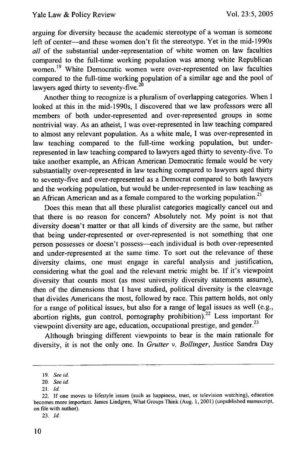arguing for diversity because the academic stereotype of a woman is someone left of center-and these women don't fit the stereotype. Yet in the mid-1990s *all* of the substantial under-representation of white women on law faculties compared to the full-time working population was among white Republican women.<sup>19</sup> White Democratic women were over-represented on law faculties compared to the full-time working population of a similar age and the pool of lawyers aged thirty to seventy-five.<sup>20</sup>

Another thing to recognize is a pluralism of overlapping categories. When I looked at this in the mid-1990s, I discovered that we law professors were all members of both under-represented and over-represented groups in some nontrivial way. As an atheist, I was over-represented in law teaching compared to almost any relevant population. As a white male, I was over-represented in law teaching compared to the full-time working population, but underrepresented in law teaching compared to lawyers aged thirty to seventy-five. To take another example, an African American Democratic female would be very substantially over-represented in law teaching compared to lawyers aged thirty to seventy-five and over-represented as a Democrat compared to both lawyers and the working population, but would be under-represented in law teaching as an African American and as a female compared to the working population.<sup>21</sup>

Does this mean that all these pluralist categories magically cancel out and that there is no reason for concern? Absolutely not. My point is not that diversity doesn't matter or that all kinds of diversity are the same, but rather that being under-represented or over-represented is not something that one person possesses or doesn't possess-each individual is both over-represented and under-represented at the same time. To sort out the relevance of these diversity claims, one must engage in careful analysis and justification, considering what the goal and the relevant metric might be. If it's viewpoint diversity that counts most (as most university diversity statements assume), then of the dimensions that I have studied, political diversity is the cleavage that divides Americans the most, followed by race. This pattern holds, not only for a range of political issues, but also for a range of legal issues as well (e.g., abortion rights, gun control, pornography prohibition).<sup>22</sup> Less important for viewpoint diversity are age, education, occupational prestige, and gender.<sup>23</sup>

Although bringing different viewpoints to bear is the main rationale for diversity, it is not the only one. In *Grutter v. Bollinger,* Justice Sandra Day

23. *Id.*

<sup>19.</sup> *See id.*

<sup>20.</sup> *See id.*

<sup>21.</sup> *Id.*

<sup>22.</sup> If one moves to lifestyle issues (such as happiness, trust, or television watching), education becomes more important. James Lindgren, What Groups Think (Aug. 1, 2001) (unpublished manuscript, on file with author).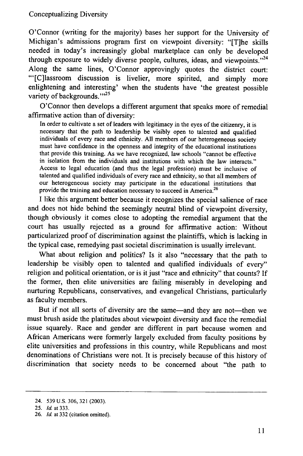O'Connor (writing for the majority) bases her support for the University of Michigan's admissions program first on viewpoint diversity: "[T]he skills needed in today's increasingly global marketplace can only be developed through exposure to widely diverse people, cultures, ideas, and viewpoints. $^{24}$ Along the same lines, O'Connor approvingly quotes the district court: "'[C]lassroom discussion is livelier, more spirited, and simply more enlightening and interesting' when the students have 'the greatest possible variety of backgrounds."<sup>25</sup>

O'Connor then develops a different argument that speaks more of remedial affirmative action than of diversity:

In order to cultivate a set of leaders with legitimacy in the eyes of the citizenry, it is necessary that the path to leadership be visibly open to talented and qualified individuals of every race and ethnicity. All members of our heterogeneous society must have confidence in the openness and integrity of the educational institutions that provide this training. As we have recognized, law schools "cannot be effective in isolation from the individuals and institutions with which the law interacts." Access to legal education (and thus the legal profession) must be inclusive of talented and qualified individuals of every race and ethnicity, so that all members of our heterogeneous society may participate in the educational institutions that provide the training and education necessary to succeed in America.<sup>26</sup>

I like this argument better because it recognizes the special salience of race and does not hide behind the seemingly neutral blind of viewpoint diversity, though obviously it comes close to adopting the remedial argument that the court has usually rejected as a ground for affirmative action: Without particularized proof of discrimination against the plaintiffs, which is lacking in the typical case, remedying past societal discrimination is usually irrelevant.

What about religion and politics? Is it also "necessary that the path to leadership be visibly open to talented and qualified individuals of every" religion and political orientation, or is it just "race and ethnicity" that counts? If the former, then elite universities are failing miserably in developing and nurturing Republicans, conservatives, and evangelical Christians, particularly as faculty members.

But if not all sorts of diversity are the same-and they are not-then we must brush aside the platitudes about viewpoint diversity and face the remedial issue squarely. Race and gender are different in part because women and African Americans were formerly largely excluded from faculty positions by elite universities and professions in this country, while Republicans and most denominations of Christians were not. It is precisely because of this history of discrimination that society needs to be concerned about "the path to

<sup>24. 539</sup> U.S. 306, 321 (2003).

<sup>25.</sup> Id. at 333.

<sup>26.</sup> *Id.* at 332 (citation omitted).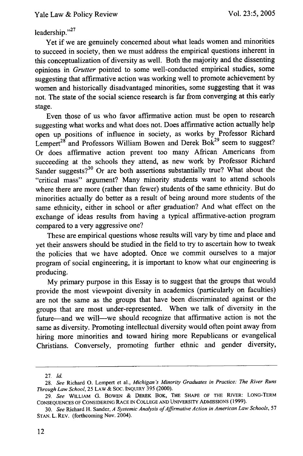## leadership."<sup>27</sup>

Yet if we are genuinely concerned about what leads women and minorities to succeed in society, then we must address the empirical questions inherent in this conceptualization of diversity as well. Both the majority and the dissenting opinions in Grutter pointed to some well-conducted empirical studies, some suggesting that affirmative action was working well to promote achievement by women and historically disadvantaged minorities, some suggesting that it was not. The state of the social science research is far from converging at this early stage.

Even those of us who favor affirmative action must be open to research suggesting what works and what does not. Does affirmative action actually help open up positions of influence in society, as works by Professor Richard Lempert<sup>28</sup> and Professors William Bowen and Derek Bok<sup>29</sup> seem to suggest? Or does affirmative action prevent too many African Americans from succeeding at the schools they attend, as new work by Professor Richard Sander suggests?<sup>30</sup> Or are both assertions substantially true? What about the "critical mass" argument? Many minority students want to attend schools where there are more (rather than fewer) students of the same ethnicity. But do minorities actually do better as a result of being around more students of the same ethnicity, either in school or after graduation? And what effect on the exchange of ideas results from having a typical affirmative-action program compared to a very aggressive one?

These are empirical questions whose results will vary by time and place and yet their answers should be studied in the field to try to ascertain how to tweak the policies that we have adopted. Once we commit ourselves to a major program of social engineering, it is important to know what our engineering is producing.

My primary purpose in this Essay is to suggest that the groups that would provide the most viewpoint diversity in academics (particularly on faculties) are not the same as the groups that have been discriminated against or the groups that are most under-represented. When we talk of diversity in the future-and we will-we should recognize that affirmative action is not the same as diversity. Promoting intellectual diversity would often point away from hiring more minorities and toward hiring more Republicans or evangelical Christians. Conversely, promoting further ethnic and gender diversity,

<sup>27.</sup> *Id.*

<sup>28.</sup> *See* Richard **0.** Lempert et al., *Michigan's Minority Graduates in Practice: The River Runs Through Law School,* 25 **LAW** & SOC. **INQUIRY** 395 (2000).

<sup>29.</sup> *See* WILLIAM **G.** BOWEN & DEREK **BOK,** THE **SHAPE** OF **THE** RIVER: LONG-TERM **CONSEQUENCES** OF CONSIDERING RACE **IN COLLEGE AND** UNIVERSITY **ADMISSIONS (1999).**

<sup>30.</sup> *See* Richard H. Sander, *A Systemic Analysis of Affirmative Action in American Law Schools, 57* **STAN.** L. REV. (forthcoming Nov. 2004).